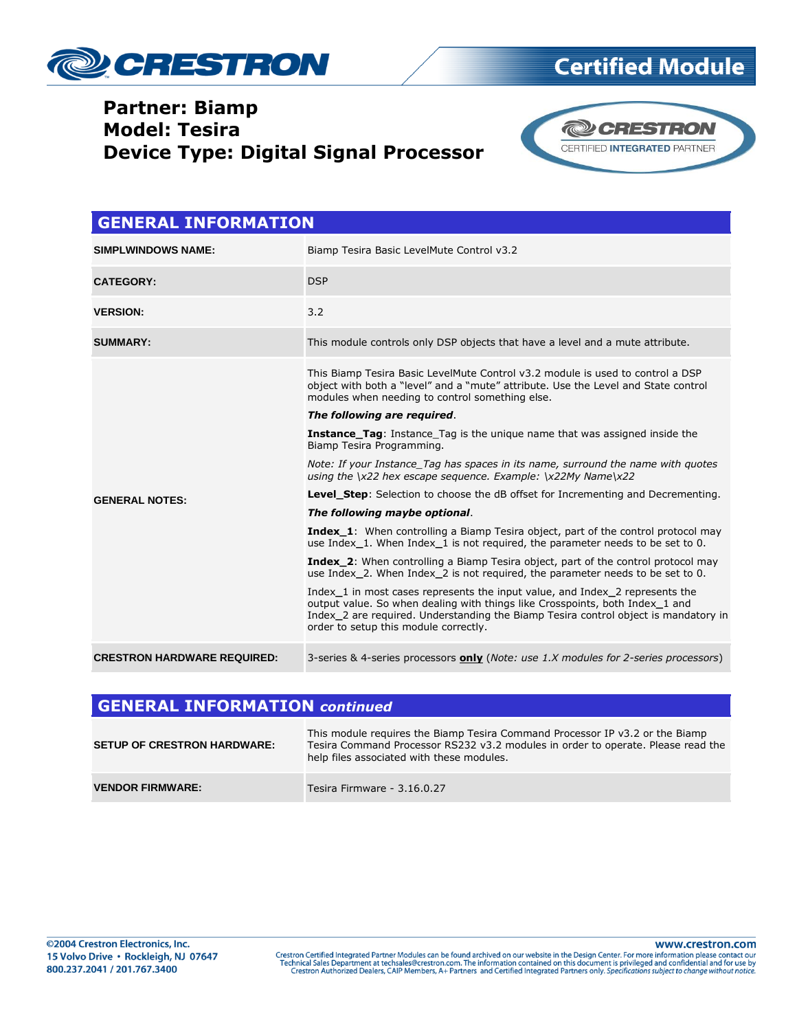

### **Partner: Biamp Model: Tesira Device Type: Digital Signal Processor**



**Certified Module** 

| <b>GENERAL INFORMATION</b>         |                                                                                                                                                                                                                                                                                              |  |
|------------------------------------|----------------------------------------------------------------------------------------------------------------------------------------------------------------------------------------------------------------------------------------------------------------------------------------------|--|
| <b>SIMPLWINDOWS NAME:</b>          | Biamp Tesira Basic LevelMute Control v3.2                                                                                                                                                                                                                                                    |  |
| <b>CATEGORY:</b>                   | <b>DSP</b>                                                                                                                                                                                                                                                                                   |  |
| <b>VERSION:</b>                    | 3.2                                                                                                                                                                                                                                                                                          |  |
| <b>SUMMARY:</b>                    | This module controls only DSP objects that have a level and a mute attribute.                                                                                                                                                                                                                |  |
| <b>GENERAL NOTES:</b>              | This Biamp Tesira Basic LevelMute Control v3.2 module is used to control a DSP<br>object with both a "level" and a "mute" attribute. Use the Level and State control<br>modules when needing to control something else.                                                                      |  |
|                                    | The following are required.                                                                                                                                                                                                                                                                  |  |
|                                    | <b>Instance_Tag:</b> Instance Tag is the unique name that was assigned inside the<br>Biamp Tesira Programming.                                                                                                                                                                               |  |
|                                    | Note: If your Instance Tag has spaces in its name, surround the name with quotes<br>using the $\x22$ hex escape sequence. Example: $\x22My$ Name $\x22$                                                                                                                                      |  |
|                                    | <b>Level_Step:</b> Selection to choose the dB offset for Incrementing and Decrementing.                                                                                                                                                                                                      |  |
|                                    | The following maybe optional.                                                                                                                                                                                                                                                                |  |
|                                    | <b>Index_1:</b> When controlling a Biamp Tesira object, part of the control protocol may<br>use Index 1. When Index 1 is not required, the parameter needs to be set to 0.                                                                                                                   |  |
|                                    | <b>Index_2:</b> When controlling a Biamp Tesira object, part of the control protocol may<br>use Index 2. When Index 2 is not required, the parameter needs to be set to 0.                                                                                                                   |  |
|                                    | Index 1 in most cases represents the input value, and Index 2 represents the<br>output value. So when dealing with things like Crosspoints, both Index_1 and<br>Index 2 are required. Understanding the Biamp Tesira control object is mandatory in<br>order to setup this module correctly. |  |
| <b>CRESTRON HARDWARE REQUIRED:</b> | 3-series & 4-series processors <b>only</b> (Note: use 1.X modules for 2-series processors)                                                                                                                                                                                                   |  |

#### **GENERAL INFORMATION** *continued*

| <b>SETUP OF CRESTRON HARDWARE:</b> | This module requires the Biamp Tesira Command Processor IP v3.2 or the Biamp<br>Tesira Command Processor RS232 v3.2 modules in order to operate. Please read the<br>help files associated with these modules. |
|------------------------------------|---------------------------------------------------------------------------------------------------------------------------------------------------------------------------------------------------------------|
| <b>VENDOR FIRMWARE:</b>            | Tesira Firmware - 3.16.0.27                                                                                                                                                                                   |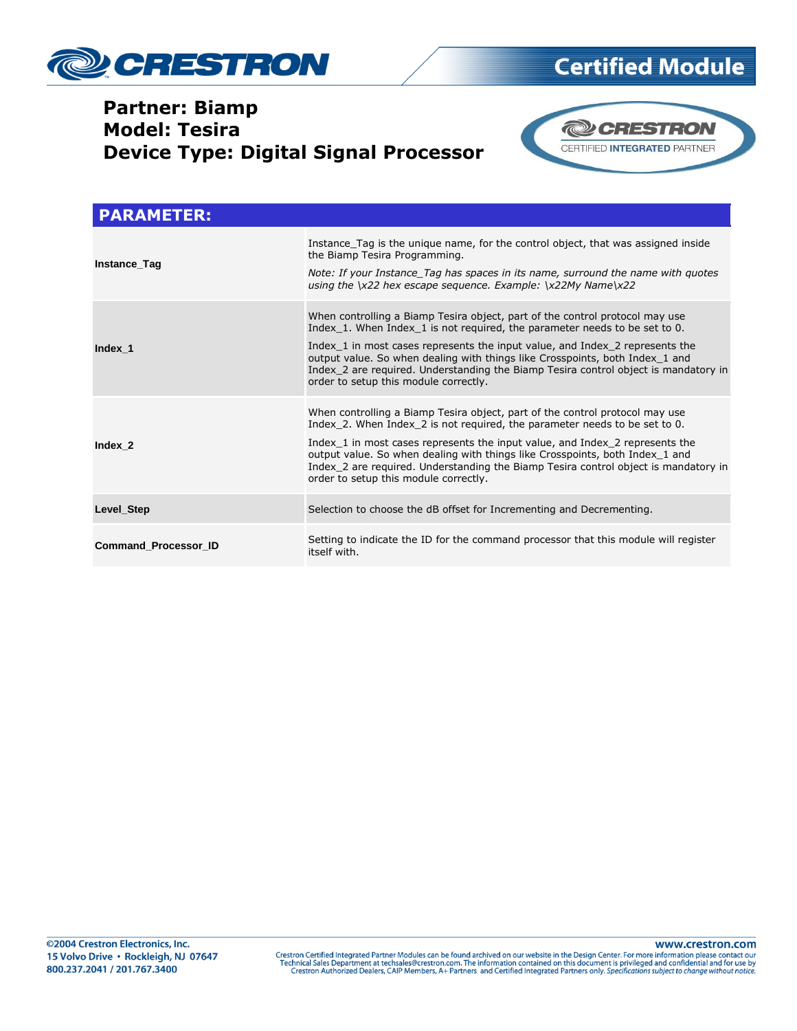

# **Certified Module**

### **Partner: Biamp Model: Tesira Device Type: Digital Signal Processor**



| <b>PARAMETER:</b>           |                                                                                                                                                                                                                                                                                                                                                                                                                                                            |
|-----------------------------|------------------------------------------------------------------------------------------------------------------------------------------------------------------------------------------------------------------------------------------------------------------------------------------------------------------------------------------------------------------------------------------------------------------------------------------------------------|
| Instance Tag                | Instance Tag is the unique name, for the control object, that was assigned inside<br>the Biamp Tesira Programming.<br>Note: If your Instance Tag has spaces in its name, surround the name with quotes<br>using the $\x22$ hex escape sequence. Example: $\x22My$ Name $\x22$                                                                                                                                                                              |
| Index 1                     | When controlling a Biamp Tesira object, part of the control protocol may use<br>Index 1. When Index 1 is not required, the parameter needs to be set to 0.<br>Index 1 in most cases represents the input value, and Index 2 represents the<br>output value. So when dealing with things like Crosspoints, both Index 1 and<br>Index 2 are required. Understanding the Biamp Tesira control object is mandatory in<br>order to setup this module correctly. |
| Index 2                     | When controlling a Biamp Tesira object, part of the control protocol may use<br>Index 2. When Index 2 is not required, the parameter needs to be set to 0.<br>Index 1 in most cases represents the input value, and Index 2 represents the<br>output value. So when dealing with things like Crosspoints, both Index 1 and<br>Index 2 are required. Understanding the Biamp Tesira control object is mandatory in<br>order to setup this module correctly. |
| Level Step                  | Selection to choose the dB offset for Incrementing and Decrementing.                                                                                                                                                                                                                                                                                                                                                                                       |
| <b>Command Processor ID</b> | Setting to indicate the ID for the command processor that this module will register<br>itself with.                                                                                                                                                                                                                                                                                                                                                        |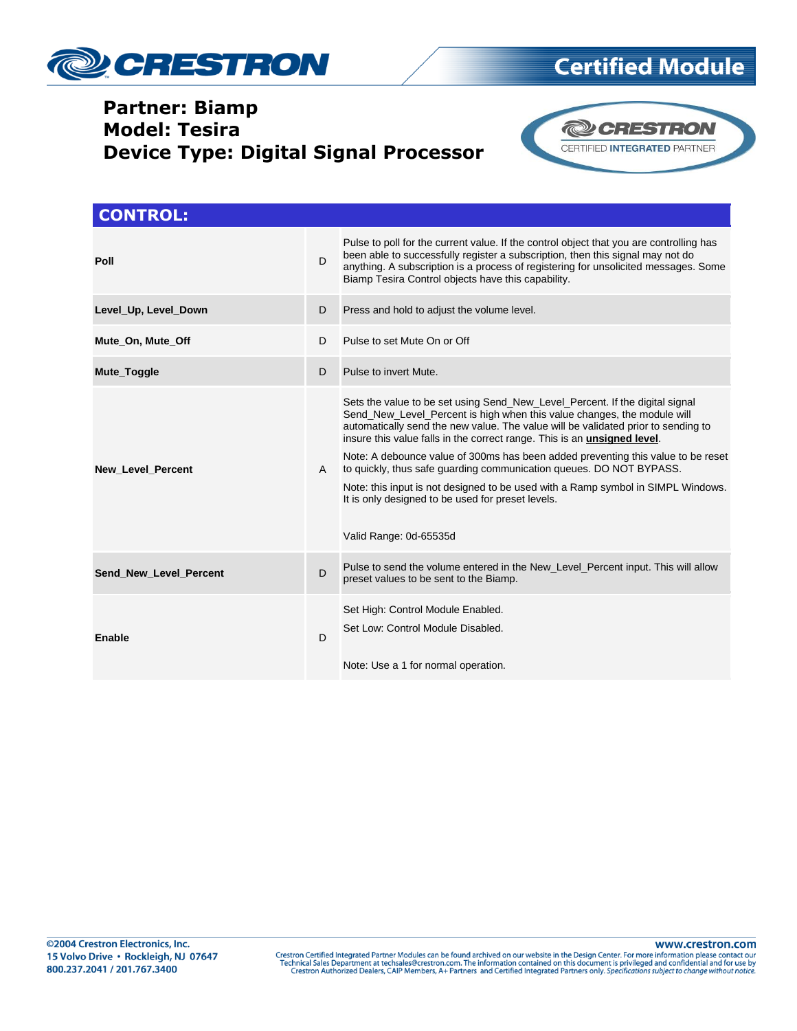

# **Certified Module**

### **Partner: Biamp Model: Tesira Device Type: Digital Signal Processor**



| <b>CONTROL:</b>          |    |                                                                                                                                                                                                                                                                                                                                                                                                                                                                                                                                                                                                                                                                |
|--------------------------|----|----------------------------------------------------------------------------------------------------------------------------------------------------------------------------------------------------------------------------------------------------------------------------------------------------------------------------------------------------------------------------------------------------------------------------------------------------------------------------------------------------------------------------------------------------------------------------------------------------------------------------------------------------------------|
| Poll                     | D  | Pulse to poll for the current value. If the control object that you are controlling has<br>been able to successfully register a subscription, then this signal may not do<br>anything. A subscription is a process of registering for unsolicited messages. Some<br>Biamp Tesira Control objects have this capability.                                                                                                                                                                                                                                                                                                                                         |
| Level Up, Level Down     | D  | Press and hold to adjust the volume level.                                                                                                                                                                                                                                                                                                                                                                                                                                                                                                                                                                                                                     |
| Mute_On, Mute_Off        | D. | Pulse to set Mute On or Off                                                                                                                                                                                                                                                                                                                                                                                                                                                                                                                                                                                                                                    |
| Mute_Toggle              | D  | Pulse to invert Mute.                                                                                                                                                                                                                                                                                                                                                                                                                                                                                                                                                                                                                                          |
| <b>New Level Percent</b> | A  | Sets the value to be set using Send_New_Level_Percent. If the digital signal<br>Send_New_Level_Percent is high when this value changes, the module will<br>automatically send the new value. The value will be validated prior to sending to<br>insure this value falls in the correct range. This is an <b>unsigned level</b> .<br>Note: A debounce value of 300ms has been added preventing this value to be reset<br>to quickly, thus safe quarding communication queues. DO NOT BYPASS.<br>Note: this input is not designed to be used with a Ramp symbol in SIMPL Windows.<br>It is only designed to be used for preset levels.<br>Valid Range: 0d-65535d |
| Send New Level Percent   | D  | Pulse to send the volume entered in the New_Level_Percent input. This will allow<br>preset values to be sent to the Biamp.                                                                                                                                                                                                                                                                                                                                                                                                                                                                                                                                     |
| Enable                   | D  | Set High: Control Module Enabled.<br>Set Low: Control Module Disabled.<br>Note: Use a 1 for normal operation.                                                                                                                                                                                                                                                                                                                                                                                                                                                                                                                                                  |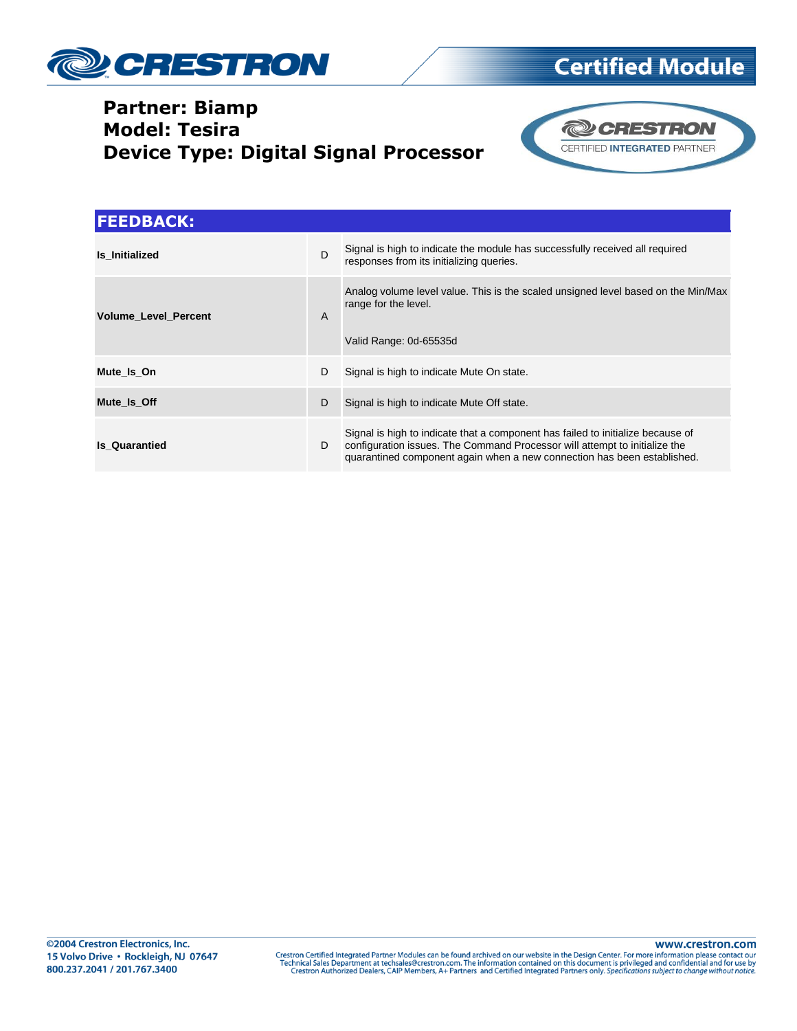

### **Partner: Biamp Model: Tesira Device Type: Digital Signal Processor**



**Certified Module** 

| <b>FEEDBACK:</b>            |              |                                                                                                                                                                                                                                          |
|-----------------------------|--------------|------------------------------------------------------------------------------------------------------------------------------------------------------------------------------------------------------------------------------------------|
| Is Initialized              | $\mathsf{D}$ | Signal is high to indicate the module has successfully received all required<br>responses from its initializing queries.                                                                                                                 |
| <b>Volume Level Percent</b> | $\mathsf{A}$ | Analog volume level value. This is the scaled unsigned level based on the Min/Max<br>range for the level.<br>Valid Range: 0d-65535d                                                                                                      |
| Mute Is On                  | D            | Signal is high to indicate Mute On state.                                                                                                                                                                                                |
| Mute Is Off                 | D            | Signal is high to indicate Mute Off state.                                                                                                                                                                                               |
| <b>Is Quarantied</b>        | D            | Signal is high to indicate that a component has failed to initialize because of<br>configuration issues. The Command Processor will attempt to initialize the<br>quarantined component again when a new connection has been established. |